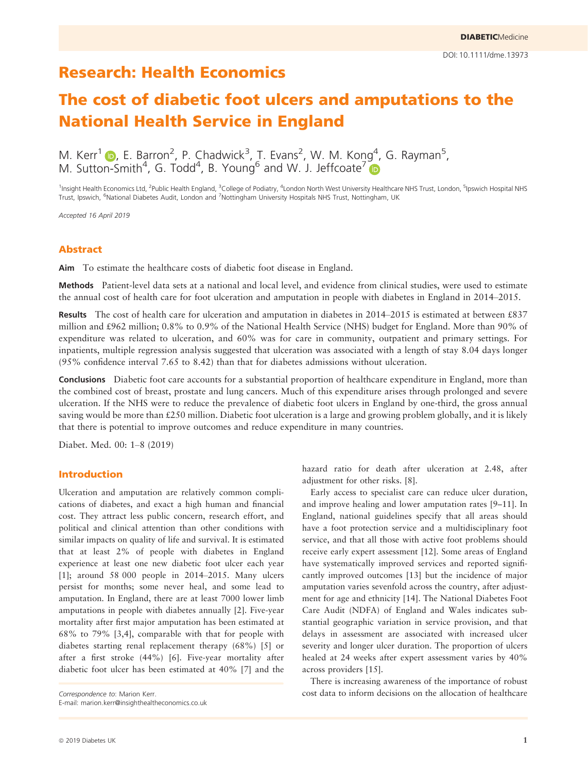# The cost of diabetic foot ulcers and amputations to the National Health Service in England

M. Kerr<sup>1</sup>  $\bullet$ , E. Barron<sup>2</sup>, P. Chadwick<sup>3</sup>, T. Evans<sup>2</sup>, W. M. Kong<sup>4</sup>, G. Rayman<sup>5</sup>, M. Sutton-Smith<sup>4</sup>, G. Todd<sup>4</sup>, B. Young<sup>6</sup> and W. J. Jeffcoate<sup>[7](https://orcid.org/0000-0002-1744-7576)</sup>

<sup>1</sup>Insight Health Economics Ltd, <sup>2</sup>Public Health England, <sup>3</sup>College of Podiatry, <sup>4</sup>London North West University Healthcare NHS Trust, London, <sup>5</sup>Ipswich Hospital NHS Trust, Ipswich, <sup>6</sup>National Diabetes Audit, London and <sup>7</sup>Nottingham University Hospitals NHS Trust, Nottingham, UK

Accepted 16 April 2019

## Abstract

Aim To estimate the healthcare costs of diabetic foot disease in England.

Methods Patient-level data sets at a national and local level, and evidence from clinical studies, were used to estimate the annual cost of health care for foot ulceration and amputation in people with diabetes in England in 2014–2015.

Results The cost of health care for ulceration and amputation in diabetes in 2014–2015 is estimated at between £837 million and £962 million; 0.8% to 0.9% of the National Health Service (NHS) budget for England. More than 90% of expenditure was related to ulceration, and 60% was for care in community, outpatient and primary settings. For inpatients, multiple regression analysis suggested that ulceration was associated with a length of stay 8.04 days longer (95% confidence interval 7.65 to 8.42) than that for diabetes admissions without ulceration.

Conclusions Diabetic foot care accounts for a substantial proportion of healthcare expenditure in England, more than the combined cost of breast, prostate and lung cancers. Much of this expenditure arises through prolonged and severe ulceration. If the NHS were to reduce the prevalence of diabetic foot ulcers in England by one-third, the gross annual saving would be more than £250 million. Diabetic foot ulceration is a large and growing problem globally, and it is likely that there is potential to improve outcomes and reduce expenditure in many countries.

Diabet. Med. 00: 1–8 (2019)

# Introduction

Ulceration and amputation are relatively common complications of diabetes, and exact a high human and financial cost. They attract less public concern, research effort, and political and clinical attention than other conditions with similar impacts on quality of life and survival. It is estimated that at least 2% of people with diabetes in England experience at least one new diabetic foot ulcer each year [1]; around 58 000 people in 2014–2015. Many ulcers persist for months; some never heal, and some lead to amputation. In England, there are at least 7000 lower limb amputations in people with diabetes annually [2]. Five-year mortality after first major amputation has been estimated at 68% to 79% [3,4], comparable with that for people with diabetes starting renal replacement therapy (68%) [5] or after a first stroke (44%) [6]. Five-year mortality after diabetic foot ulcer has been estimated at 40% [7] and the

E-mail: [marion.kerr@insighthealtheconomics.co.uk](mailto:)

hazard ratio for death after ulceration at 2.48, after adjustment for other risks. [8].

Early access to specialist care can reduce ulcer duration, and improve healing and lower amputation rates [9–11]. In England, national guidelines specify that all areas should have a foot protection service and a multidisciplinary foot service, and that all those with active foot problems should receive early expert assessment [12]. Some areas of England have systematically improved services and reported significantly improved outcomes [13] but the incidence of major amputation varies sevenfold across the country, after adjustment for age and ethnicity [14]. The National Diabetes Foot Care Audit (NDFA) of England and Wales indicates substantial geographic variation in service provision, and that delays in assessment are associated with increased ulcer severity and longer ulcer duration. The proportion of ulcers healed at 24 weeks after expert assessment varies by 40% across providers [15].

There is increasing awareness of the importance of robust Correspondence to: Marion Kerr. cost data to inform decisions on the allocation of healthcare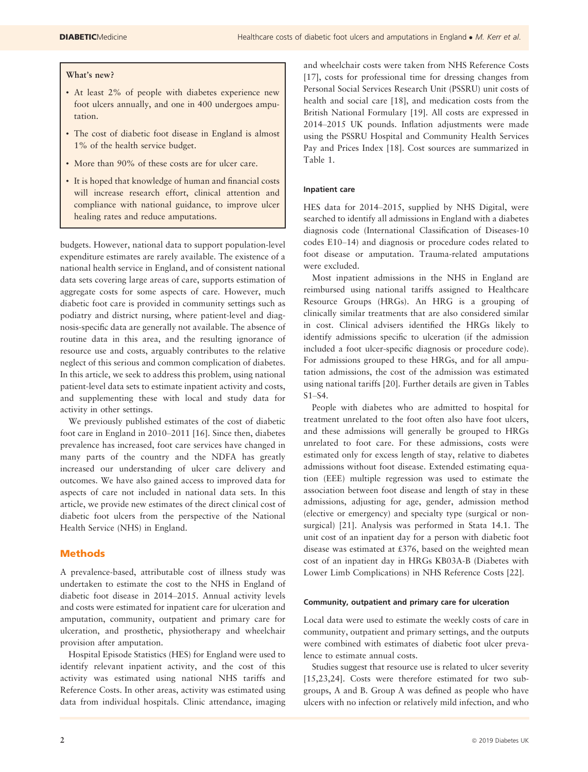## What's new?

- At least 2% of people with diabetes experience new foot ulcers annually, and one in 400 undergoes amputation.
- The cost of diabetic foot disease in England is almost 1% of the health service budget.
- More than 90% of these costs are for ulcer care.
- It is hoped that knowledge of human and financial costs will increase research effort, clinical attention and compliance with national guidance, to improve ulcer healing rates and reduce amputations.

budgets. However, national data to support population-level expenditure estimates are rarely available. The existence of a national health service in England, and of consistent national data sets covering large areas of care, supports estimation of aggregate costs for some aspects of care. However, much diabetic foot care is provided in community settings such as podiatry and district nursing, where patient-level and diagnosis-specific data are generally not available. The absence of routine data in this area, and the resulting ignorance of resource use and costs, arguably contributes to the relative neglect of this serious and common complication of diabetes. In this article, we seek to address this problem, using national patient-level data sets to estimate inpatient activity and costs, and supplementing these with local and study data for activity in other settings.

We previously published estimates of the cost of diabetic foot care in England in 2010–2011 [16]. Since then, diabetes prevalence has increased, foot care services have changed in many parts of the country and the NDFA has greatly increased our understanding of ulcer care delivery and outcomes. We have also gained access to improved data for aspects of care not included in national data sets. In this article, we provide new estimates of the direct clinical cost of diabetic foot ulcers from the perspective of the National Health Service (NHS) in England.

# Methods

A prevalence-based, attributable cost of illness study was undertaken to estimate the cost to the NHS in England of diabetic foot disease in 2014–2015. Annual activity levels and costs were estimated for inpatient care for ulceration and amputation, community, outpatient and primary care for ulceration, and prosthetic, physiotherapy and wheelchair provision after amputation.

Hospital Episode Statistics (HES) for England were used to identify relevant inpatient activity, and the cost of this activity was estimated using national NHS tariffs and Reference Costs. In other areas, activity was estimated using data from individual hospitals. Clinic attendance, imaging and wheelchair costs were taken from NHS Reference Costs [17], costs for professional time for dressing changes from Personal Social Services Research Unit (PSSRU) unit costs of health and social care [18], and medication costs from the British National Formulary [19]. All costs are expressed in 2014–2015 UK pounds. Inflation adjustments were made using the PSSRU Hospital and Community Health Services Pay and Prices Index [18]. Cost sources are summarized in Table 1.

## Inpatient care

HES data for 2014–2015, supplied by NHS Digital, were searched to identify all admissions in England with a diabetes diagnosis code (International Classification of Diseases-10 codes E10–14) and diagnosis or procedure codes related to foot disease or amputation. Trauma-related amputations were excluded.

Most inpatient admissions in the NHS in England are reimbursed using national tariffs assigned to Healthcare Resource Groups (HRGs). An HRG is a grouping of clinically similar treatments that are also considered similar in cost. Clinical advisers identified the HRGs likely to identify admissions specific to ulceration (if the admission included a foot ulcer-specific diagnosis or procedure code). For admissions grouped to these HRGs, and for all amputation admissions, the cost of the admission was estimated using national tariffs [20]. Further details are given in Tables S1–S4.

People with diabetes who are admitted to hospital for treatment unrelated to the foot often also have foot ulcers, and these admissions will generally be grouped to HRGs unrelated to foot care. For these admissions, costs were estimated only for excess length of stay, relative to diabetes admissions without foot disease. Extended estimating equation (EEE) multiple regression was used to estimate the association between foot disease and length of stay in these admissions, adjusting for age, gender, admission method (elective or emergency) and specialty type (surgical or nonsurgical) [21]. Analysis was performed in Stata 14.1. The unit cost of an inpatient day for a person with diabetic foot disease was estimated at £376, based on the weighted mean cost of an inpatient day in HRGs KB03A-B (Diabetes with Lower Limb Complications) in NHS Reference Costs [22].

#### Community, outpatient and primary care for ulceration

Local data were used to estimate the weekly costs of care in community, outpatient and primary settings, and the outputs were combined with estimates of diabetic foot ulcer prevalence to estimate annual costs.

Studies suggest that resource use is related to ulcer severity [15,23,24]. Costs were therefore estimated for two subgroups, A and B. Group A was defined as people who have ulcers with no infection or relatively mild infection, and who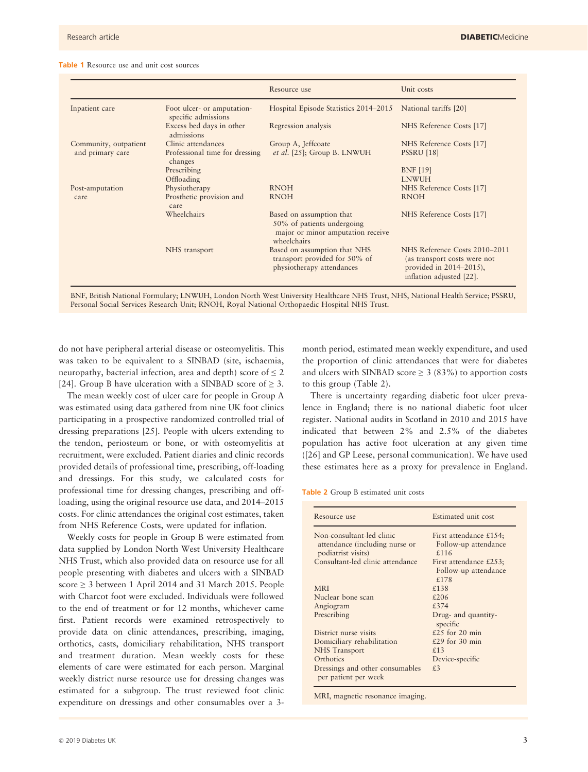#### Table 1 Resource use and unit cost sources

|                       |                                                   | Resource use                                                                                               | Unit costs                                                                                                                |
|-----------------------|---------------------------------------------------|------------------------------------------------------------------------------------------------------------|---------------------------------------------------------------------------------------------------------------------------|
| Inpatient care        | Foot ulcer- or amputation-<br>specific admissions | Hospital Episode Statistics 2014–2015                                                                      | National tariffs [20]                                                                                                     |
|                       | Excess bed days in other<br>admissions            | Regression analysis                                                                                        | NHS Reference Costs [17]                                                                                                  |
| Community, outpatient | Clinic attendances                                | Group A, Jeffcoate                                                                                         | NHS Reference Costs [17]                                                                                                  |
| and primary care      | Professional time for dressing<br>changes         | et al. [25]; Group B. LNWUH                                                                                | <b>PSSRU</b> [18]                                                                                                         |
|                       | Prescribing                                       |                                                                                                            | <b>BNF</b> [19]                                                                                                           |
|                       | Offloading                                        |                                                                                                            | <b>LNWUH</b>                                                                                                              |
| Post-amputation       | Physiotherapy                                     | <b>RNOH</b>                                                                                                | NHS Reference Costs [17]                                                                                                  |
| care                  | Prosthetic provision and<br>care                  | <b>RNOH</b>                                                                                                | <b>RNOH</b>                                                                                                               |
|                       | Wheelchairs                                       | Based on assumption that<br>50% of patients undergoing<br>major or minor amputation receive<br>wheelchairs | NHS Reference Costs [17]                                                                                                  |
|                       | NHS transport                                     | Based on assumption that NHS<br>transport provided for 50% of<br>physiotherapy attendances                 | NHS Reference Costs 2010-2011<br>(as transport costs were not<br>provided in $2014 - 2015$ ),<br>inflation adjusted [22]. |

BNF, British National Formulary; LNWUH, London North West University Healthcare NHS Trust, NHS, National Health Service; PSSRU, Personal Social Services Research Unit; RNOH, Royal National Orthopaedic Hospital NHS Trust.

do not have peripheral arterial disease or osteomyelitis. This was taken to be equivalent to a SINBAD (site, ischaemia, neuropathy, bacterial infection, area and depth) score of  $\leq 2$ [24]. Group B have ulceration with a SINBAD score of  $\geq$  3.

The mean weekly cost of ulcer care for people in Group A was estimated using data gathered from nine UK foot clinics participating in a prospective randomized controlled trial of dressing preparations [25]. People with ulcers extending to the tendon, periosteum or bone, or with osteomyelitis at recruitment, were excluded. Patient diaries and clinic records provided details of professional time, prescribing, off-loading and dressings. For this study, we calculated costs for professional time for dressing changes, prescribing and offloading, using the original resource use data, and 2014–2015 costs. For clinic attendances the original cost estimates, taken from NHS Reference Costs, were updated for inflation.

Weekly costs for people in Group B were estimated from data supplied by London North West University Healthcare NHS Trust, which also provided data on resource use for all people presenting with diabetes and ulcers with a SINBAD score  $\geq$  3 between 1 April 2014 and 31 March 2015. People with Charcot foot were excluded. Individuals were followed to the end of treatment or for 12 months, whichever came first. Patient records were examined retrospectively to provide data on clinic attendances, prescribing, imaging, orthotics, casts, domiciliary rehabilitation, NHS transport and treatment duration. Mean weekly costs for these elements of care were estimated for each person. Marginal weekly district nurse resource use for dressing changes was estimated for a subgroup. The trust reviewed foot clinic expenditure on dressings and other consumables over a 3month period, estimated mean weekly expenditure, and used the proportion of clinic attendances that were for diabetes and ulcers with SINBAD score  $\geq$  3 (83%) to apportion costs to this group (Table 2).

There is uncertainty regarding diabetic foot ulcer prevalence in England; there is no national diabetic foot ulcer register. National audits in Scotland in 2010 and 2015 have indicated that between 2% and 2.5% of the diabetes population has active foot ulceration at any given time ([26] and GP Leese, personal communication). We have used these estimates here as a proxy for prevalence in England.

Table 2 Group B estimated unit costs

| Resource use                                            | Estimated unit cost             |  |
|---------------------------------------------------------|---------------------------------|--|
| Non-consultant-led clinic                               | First attendance £154;          |  |
| attendance (including nurse or<br>podiatrist visits)    | Follow-up attendance<br>£116    |  |
| Consultant-led clinic attendance                        | First attendance £253;          |  |
|                                                         | Follow-up attendance            |  |
|                                                         | £178                            |  |
| <b>MRI</b>                                              | £138                            |  |
| Nuclear bone scan                                       | £206                            |  |
| Angiogram                                               | £374                            |  |
| Prescribing                                             | Drug- and quantity-<br>specific |  |
| District nurse visits                                   | £25 for 20 min                  |  |
| Domiciliary rehabilitation                              | £29 for $30 \text{ min}$        |  |
| NHS Transport                                           | £13                             |  |
| Orthotics                                               | Device-specific                 |  |
| Dressings and other consumables<br>per patient per week | f.3                             |  |

MRI, magnetic resonance imaging.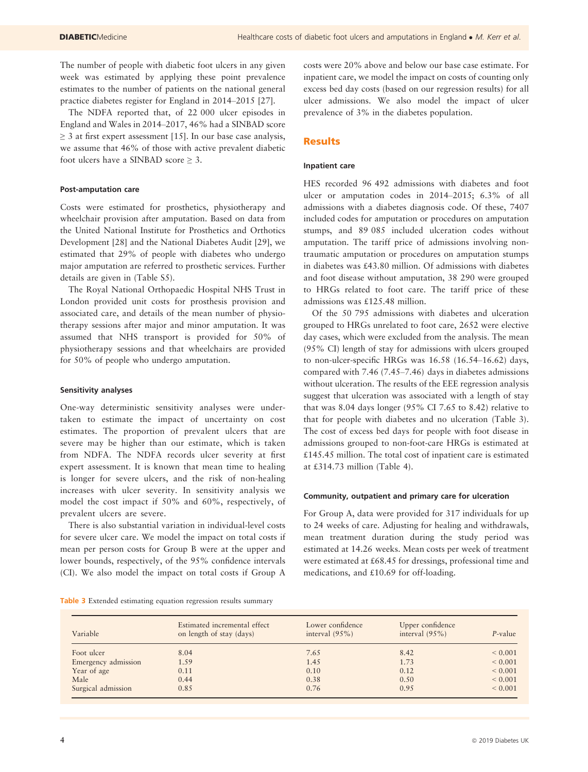The number of people with diabetic foot ulcers in any given week was estimated by applying these point prevalence estimates to the number of patients on the national general practice diabetes register for England in 2014–2015 [27].

The NDFA reported that, of 22 000 ulcer episodes in England and Wales in 2014–2017, 46% had a SINBAD score  $\geq$  3 at first expert assessment [15]. In our base case analysis, we assume that 46% of those with active prevalent diabetic foot ulcers have a SINBAD score  $\geq 3$ .

#### Post-amputation care

Costs were estimated for prosthetics, physiotherapy and wheelchair provision after amputation. Based on data from the United National Institute for Prosthetics and Orthotics Development [28] and the National Diabetes Audit [29], we estimated that 29% of people with diabetes who undergo major amputation are referred to prosthetic services. Further details are given in (Table S5).

The Royal National Orthopaedic Hospital NHS Trust in London provided unit costs for prosthesis provision and associated care, and details of the mean number of physiotherapy sessions after major and minor amputation. It was assumed that NHS transport is provided for 50% of physiotherapy sessions and that wheelchairs are provided for 50% of people who undergo amputation.

#### Sensitivity analyses

One-way deterministic sensitivity analyses were undertaken to estimate the impact of uncertainty on cost estimates. The proportion of prevalent ulcers that are severe may be higher than our estimate, which is taken from NDFA. The NDFA records ulcer severity at first expert assessment. It is known that mean time to healing is longer for severe ulcers, and the risk of non-healing increases with ulcer severity. In sensitivity analysis we model the cost impact if 50% and 60%, respectively, of prevalent ulcers are severe.

There is also substantial variation in individual-level costs for severe ulcer care. We model the impact on total costs if mean per person costs for Group B were at the upper and lower bounds, respectively, of the 95% confidence intervals (CI). We also model the impact on total costs if Group A

costs were 20% above and below our base case estimate. For inpatient care, we model the impact on costs of counting only excess bed day costs (based on our regression results) for all ulcer admissions. We also model the impact of ulcer prevalence of 3% in the diabetes population.

## **Results**

#### Inpatient care

HES recorded 96 492 admissions with diabetes and foot ulcer or amputation codes in 2014–2015; 6.3% of all admissions with a diabetes diagnosis code. Of these, 7407 included codes for amputation or procedures on amputation stumps, and 89 085 included ulceration codes without amputation. The tariff price of admissions involving nontraumatic amputation or procedures on amputation stumps in diabetes was £43.80 million. Of admissions with diabetes and foot disease without amputation, 38 290 were grouped to HRGs related to foot care. The tariff price of these admissions was £125.48 million.

Of the 50 795 admissions with diabetes and ulceration grouped to HRGs unrelated to foot care, 2652 were elective day cases, which were excluded from the analysis. The mean (95% CI) length of stay for admissions with ulcers grouped to non-ulcer-specific HRGs was 16.58 (16.54–16.62) days, compared with 7.46 (7.45–7.46) days in diabetes admissions without ulceration. The results of the EEE regression analysis suggest that ulceration was associated with a length of stay that was 8.04 days longer (95% CI 7.65 to 8.42) relative to that for people with diabetes and no ulceration (Table 3). The cost of excess bed days for people with foot disease in admissions grouped to non-foot-care HRGs is estimated at £145.45 million. The total cost of inpatient care is estimated at £314.73 million (Table 4).

#### Community, outpatient and primary care for ulceration

For Group A, data were provided for 317 individuals for up to 24 weeks of care. Adjusting for healing and withdrawals, mean treatment duration during the study period was estimated at 14.26 weeks. Mean costs per week of treatment were estimated at £68.45 for dressings, professional time and medications, and £10.69 for off-loading.

Table 3 Extended estimating equation regression results summary

| Variable            | Estimated incremental effect<br>on length of stay (days) | Lower confidence<br>interval $(95\%)$ | Upper confidence<br>interval $(95\%)$ | $P$ -value  |
|---------------------|----------------------------------------------------------|---------------------------------------|---------------------------------------|-------------|
| Foot ulcer          | 8.04                                                     | 7.65                                  | 8.42                                  | ${}< 0.001$ |
| Emergency admission | 1.59                                                     | 1.45                                  | 1.73                                  | ${}< 0.001$ |
| Year of age         | 0.11                                                     | 0.10                                  | 0.12                                  | ${}< 0.001$ |
| Male                | 0.44                                                     | 0.38                                  | 0.50                                  | ${}< 0.001$ |
| Surgical admission  | 0.85                                                     | 0.76                                  | 0.95                                  | ${}< 0.001$ |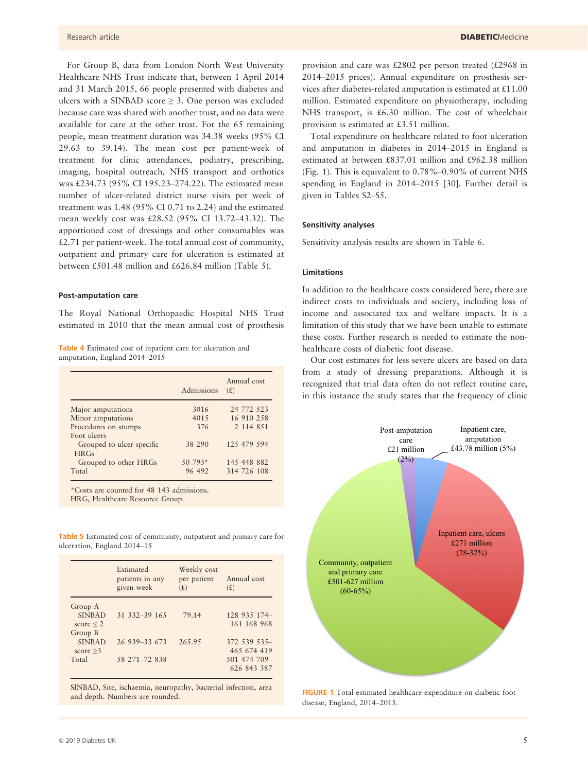For Group B, data from London North West University Healthcare NHS Trust indicate that, between 1 April 2014 and 31 March 2015, 66 people presented with diabetes and ulcers with a SINBAD score > 3. One person was excluded because care was shared with another trust, and no data were available for care at the other trust. For the 65 remaining people, mean treatment duration was 34.38 weeks (95% CI 29.63 to 39.14). The mean cost per patient-week of treatment for clinic attendances, podiatry, prescribing, imaging, hospital outreach, NHS transport and orthotics was £234.73 (95% CI 195.23–274.22). The estimated mean number of ulcer-related district nurse visits per week of treatment was 1.48 (95% CI 0.71 to 2.24) and the estimated mean weekly cost was £28.52 (95% CI 13.72–43.32). The apportioned cost of dressings and other consumables was £2.71 per patient-week. The total annual cost of community, outpatient and primary care for ulceration is estimated at between £501.48 million and £626.84 million (Table 5).

## Post-amputation care

The Royal National Orthopaedic Hospital NHS Trust estimated in 2010 that the mean annual cost of prosthesis

Table 4 Estimated cost of inpatient care for ulceration and amputation, England 2014–2015

|                                   | Admissions | Annual cost<br>(E) |
|-----------------------------------|------------|--------------------|
| Major amputations                 | 3016       | 24 772 523         |
| Minor amputations                 | 4015       | 16 910 258         |
| Procedures on stumps              | 376        | 2 1 1 4 8 5 1      |
| Foot ulcers                       |            |                    |
| Grouped to ulcer-specific<br>HRGs | 38 290     | 125 479 594        |
| Grouped to other HRGs             | $50.795*$  | 145 448 882        |
| Total                             | 96 492     | 314 726 108        |

\*Costs are counted for 48 143 admissions.

HRG, Healthcare Resource Group.

Table 5 Estimated cost of community, outpatient and primary care for ulceration, England 2014–15

|                                                       | Estimated<br>patients in any<br>given week | Weekly cost<br>per patient<br>(E) | Annual cost<br>(E)                                        |
|-------------------------------------------------------|--------------------------------------------|-----------------------------------|-----------------------------------------------------------|
| Group A<br><b>SINBAD</b><br>score $\leq$ 2<br>Group B | 31 332 - 39 165                            | 79.14                             | 128 935 174<br>161 168 968                                |
| <b>SINBAD</b><br>score $\geq$ 3<br>Total              | 26 939 - 33 673<br>58 271 - 72 838         | 265.95                            | 372 539 535-<br>465 674 419<br>501 474 709<br>626 843 387 |

SINBAD, Site, ischaemia, neuropathy, bacterial infection, area and depth. Numbers are rounded.

provision and care was £2802 per person treated (£2968 in 2014–2015 prices). Annual expenditure on prosthesis services after diabetes-related amputation is estimated at £11.00 million. Estimated expenditure on physiotherapy, including NHS transport, is £6.30 million. The cost of wheelchair provision is estimated at £3.51 million.

Total expenditure on healthcare related to foot ulceration and amputation in diabetes in 2014–2015 in England is estimated at between £837.01 million and £962.38 million (Fig. 1). This is equivalent to 0.78%–0.90% of current NHS spending in England in 2014–2015 [30]. Further detail is given in Tables S2–S5.

#### Sensitivity analyses

Sensitivity analysis results are shown in Table 6.

## Limitations

In addition to the healthcare costs considered here, there are indirect costs to individuals and society, including loss of income and associated tax and welfare impacts. It is a limitation of this study that we have been unable to estimate these costs. Further research is needed to estimate the nonhealthcare costs of diabetic foot disease.

Our cost estimates for less severe ulcers are based on data from a study of dressing preparations. Although it is recognized that trial data often do not reflect routine care, in this instance the study states that the frequency of clinic



FIGURE 1 Total estimated healthcare expenditure on diabetic foot disease, England, 2014–2015.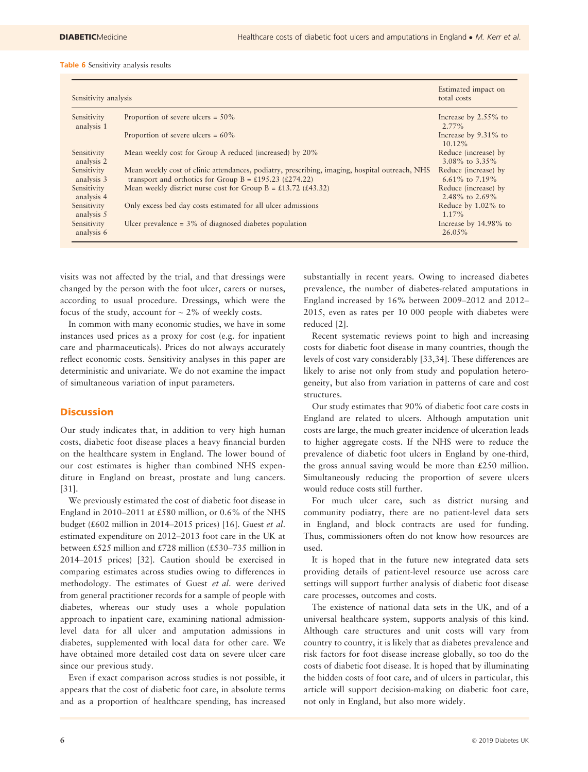#### Table 6 Sensitivity analysis results

| Sensitivity analysis      |                                                                                                                                                           | Estimated impact on<br>total costs           |
|---------------------------|-----------------------------------------------------------------------------------------------------------------------------------------------------------|----------------------------------------------|
| Sensitivity<br>analysis 1 | Proportion of severe ulcers = $50\%$                                                                                                                      | Increase by 2.55% to<br>$2.77\%$             |
|                           | Proportion of severe ulcers = $60\%$                                                                                                                      | Increase by 9.31% to<br>$10.12\%$            |
| Sensitivity<br>analysis 2 | Mean weekly cost for Group A reduced (increased) by 20%                                                                                                   | Reduce (increase) by<br>$3.08\%$ to $3.35\%$ |
| Sensitivity<br>analysis 3 | Mean weekly cost of clinic attendances, podiatry, prescribing, imaging, hospital outreach, NHS<br>transport and orthotics for Group B = £195.23 (£274.22) | Reduce (increase) by<br>6.61\% to 7.19\%     |
| Sensitivity<br>analysis 4 | Mean weekly district nurse cost for Group B = £13.72 (£43.32)                                                                                             | Reduce (increase) by<br>2.48% to $2.69%$     |
| Sensitivity<br>analysis 5 | Only excess bed day costs estimated for all ulcer admissions                                                                                              | Reduce by 1.02% to<br>1.17%                  |
| Sensitivity<br>analysis 6 | Ulcer prevalence $=$ 3% of diagnosed diabetes population                                                                                                  | Increase by 14.98% to<br>26.05%              |

visits was not affected by the trial, and that dressings were changed by the person with the foot ulcer, carers or nurses, according to usual procedure. Dressings, which were the focus of the study, account for  $\sim$  2% of weekly costs.

In common with many economic studies, we have in some instances used prices as a proxy for cost (e.g. for inpatient care and pharmaceuticals). Prices do not always accurately reflect economic costs. Sensitivity analyses in this paper are deterministic and univariate. We do not examine the impact of simultaneous variation of input parameters.

# **Discussion**

Our study indicates that, in addition to very high human costs, diabetic foot disease places a heavy financial burden on the healthcare system in England. The lower bound of our cost estimates is higher than combined NHS expenditure in England on breast, prostate and lung cancers. [31].

We previously estimated the cost of diabetic foot disease in England in 2010–2011 at £580 million, or 0.6% of the NHS budget (£602 million in 2014–2015 prices) [16]. Guest et al. estimated expenditure on 2012–2013 foot care in the UK at between £525 million and £728 million (£530–735 million in 2014–2015 prices) [32]. Caution should be exercised in comparing estimates across studies owing to differences in methodology. The estimates of Guest et al. were derived from general practitioner records for a sample of people with diabetes, whereas our study uses a whole population approach to inpatient care, examining national admissionlevel data for all ulcer and amputation admissions in diabetes, supplemented with local data for other care. We have obtained more detailed cost data on severe ulcer care since our previous study.

Even if exact comparison across studies is not possible, it appears that the cost of diabetic foot care, in absolute terms and as a proportion of healthcare spending, has increased substantially in recent years. Owing to increased diabetes prevalence, the number of diabetes-related amputations in England increased by 16% between 2009–2012 and 2012– 2015, even as rates per 10 000 people with diabetes were reduced [2].

Recent systematic reviews point to high and increasing costs for diabetic foot disease in many countries, though the levels of cost vary considerably [33,34]. These differences are likely to arise not only from study and population heterogeneity, but also from variation in patterns of care and cost structures.

Our study estimates that 90% of diabetic foot care costs in England are related to ulcers. Although amputation unit costs are large, the much greater incidence of ulceration leads to higher aggregate costs. If the NHS were to reduce the prevalence of diabetic foot ulcers in England by one-third, the gross annual saving would be more than £250 million. Simultaneously reducing the proportion of severe ulcers would reduce costs still further.

For much ulcer care, such as district nursing and community podiatry, there are no patient-level data sets in England, and block contracts are used for funding. Thus, commissioners often do not know how resources are used.

It is hoped that in the future new integrated data sets providing details of patient-level resource use across care settings will support further analysis of diabetic foot disease care processes, outcomes and costs.

The existence of national data sets in the UK, and of a universal healthcare system, supports analysis of this kind. Although care structures and unit costs will vary from country to country, it is likely that as diabetes prevalence and risk factors for foot disease increase globally, so too do the costs of diabetic foot disease. It is hoped that by illuminating the hidden costs of foot care, and of ulcers in particular, this article will support decision-making on diabetic foot care, not only in England, but also more widely.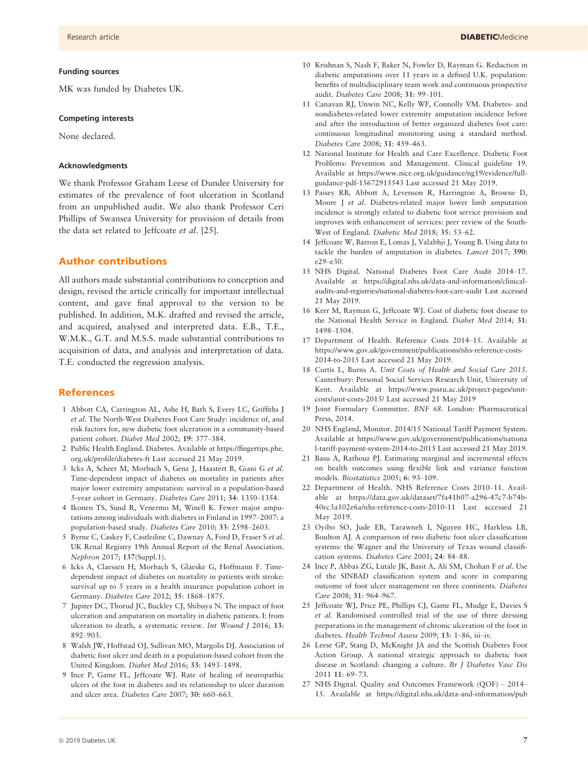MK was funded by Diabetes UK.

#### Competing interests

None declared.

#### Acknowledgments

We thank Professor Graham Leese of Dundee University for estimates of the prevalence of foot ulceration in Scotland from an unpublished audit. We also thank Professor Ceri Phillips of Swansea University for provision of details from the data set related to Jeffcoate et al. [25].

## Author contributions

All authors made substantial contributions to conception and design, revised the article critically for important intellectual content, and gave final approval to the version to be published. In addition, M.K. drafted and revised the article, and acquired, analysed and interpreted data. E.B., T.E., W.M.K., G.T. and M.S.S. made substantial contributions to acquisition of data, and analysis and interpretation of data. T.E. conducted the regression analysis.

## References

- 1 Abbott CA, Carrington AL, Ashe H, Bath S, Every LC, Griffiths J et al. The North-West Diabetes Foot Care Study: incidence of, and risk factors for, new diabetic foot ulceration in a community-based patient cohort. Diabet Med 2002; 19: 377–384.
- 2 Public Health England. Diabetes. Available at [https://fingertips.phe.](https://fingertips.phe.org.uk/profile/diabetes-ft) [org.uk/profile/diabetes-ft](https://fingertips.phe.org.uk/profile/diabetes-ft) Last accessed 21 May 2019.
- 3 Icks A, Scheer M, Morbach S, Genz J, Haastert B, Giani G et al. Time-dependent impact of diabetes on mortality in patients after major lower extremity amputation: survival in a population-based 5-year cohort in Germany. Diabetes Care 2011; 34: 1350–1354.
- 4 Ikonen TS, Sund R, Venermo M, Winell K. Fewer major amputations among individuals with diabetes in Finland in 1997–2007: a population-based study. Diabetes Care 2010; 33: 2598–2603.
- 5 Byrne C, Caskey F, Castledine C, Dawnay A, Ford D, Fraser S et al. UK Renal Registry 19th Annual Report of the Renal Association. Nephron 2017; 137(Suppl.1).
- 6 Icks A, Claessen H, Morbach S, Glaeske G, Hoffmann F. Timedependent impact of diabetes on mortality in patients with stroke: survival up to 5 years in a health insurance population cohort in Germany. Diabetes Care 2012; 35: 1868–1875.
- 7 Jupiter DC, Thorud JC, Buckley CJ, Shibuya N. The impact of foot ulceration and amputation on mortality in diabetic patients. I: from ulceration to death, a systematic review. Int Wound J 2016; 13: 892–903.
- 8 Walsh JW, Hoffstad OJ, Sullivan MO, Margolis DJ. Association of diabetic foot ulcer and death in a population-based cohort from the United Kingdom. Diabet Med 2016; 33: 1493–1498.
- 9 Ince P, Game FL, Jeffcoate WJ. Rate of healing of neuropathic ulcers of the foot in diabetes and its relationship to ulcer duration and ulcer area. Diabetes Care 2007; 30: 660–663.
- 10 Krishnan S, Nash F, Baker N, Fowler D, Rayman G. Reduction in diabetic amputations over 11 years in a defined U.K. population: benefits of multidisciplinary team work and continuous prospective audit. Diabetes Care 2008; 31: 99–101.
- 11 Canavan RJ, Unwin NC, Kelly WF, Connolly VM. Diabetes- and nondiabetes-related lower extremity amputation incidence before and after the introduction of better organized diabetes foot care: continuous longitudinal monitoring using a standard method. Diabetes Care 2008; 31: 459–463.
- 12 National Institute for Health and Care Excellence. Diabetic Foot Problems: Prevention and Management. Clinical guideline 19. Available at [https://www.nice.org.uk/guidance/ng19/evidence/full](https://www.nice.org.uk/guidance/ng19/evidence/full-guidance-pdf-15672915543)[guidance-pdf-15672915543](https://www.nice.org.uk/guidance/ng19/evidence/full-guidance-pdf-15672915543) Last accessed 21 May 2019.
- 13 Paisey RB, Abbott A, Levenson R, Harrington A, Browne D, Moore J et al. Diabetes-related major lower limb amputation incidence is strongly related to diabetic foot service provision and improves with enhancement of services: peer review of the South-West of England. Diabetic Med 2018; 35: 53–62.
- 14 Jeffcoate W, Barron E, Lomas J, Valabhji J, Young B. Using data to tackle the burden of amputation in diabetes. Lancet 2017; 390: e29–e30.
- 15 NHS Digital. National Diabetes Foot Care Audit 2014–17. Available at [https://digital.nhs.uk/data-and-information/clinical](https://digital.nhs.uk/data-and-information/clinical-audits-and-registries/national-diabetes-foot-care-audit)[audits-and-registries/national-diabetes-foot-care-audit](https://digital.nhs.uk/data-and-information/clinical-audits-and-registries/national-diabetes-foot-care-audit) Last accessed 21 May 2019.
- 16 Kerr M, Rayman G, Jeffcoate WJ. Cost of diabetic foot disease to the National Health Service in England. Diabet Med 2014; 31: 1498–1504.
- 17 Department of Health. Reference Costs 2014–15. Available at [https://www.gov.uk/government/publications/nhs-reference-costs-](https://www.gov.uk/government/publications/nhs-reference-costs-2014-to-2015)[2014-to-2015](https://www.gov.uk/government/publications/nhs-reference-costs-2014-to-2015) Last accessed 21 May 2019.
- 18 Curtis L, Burns A. Unit Costs of Health and Social Care 2015. Canterbury: Personal Social Services Research Unit, University of Kent. Available at [https://www.pssru.ac.uk/project-pages/unit](https://www.pssru.ac.uk/project-pages/unit-costs/unit-costs-2015/)[costs/unit-costs-2015/](https://www.pssru.ac.uk/project-pages/unit-costs/unit-costs-2015/) Last accessed 21 May 2019
- 19 Joint Formulary Committee. BNF 68. London: Pharmaceutical Press, 2014.
- 20 NHS England, Monitor. 2014/15 National Tariff Payment System. Available at [https://www.gov.uk/government/publications/nationa](https://www.gov.uk/government/publications/national-tariff-payment-system-2014-to-2015) [l-tariff-payment-system-2014-to-2015](https://www.gov.uk/government/publications/national-tariff-payment-system-2014-to-2015) Last accessed 21 May 2019.
- 21 Basu A, Rathouz PJ. Estimating marginal and incremental effects on health outcomes using flexible link and variance function models. Biostatistics 2005; 6: 93–109.
- 22 Department of Health. NHS Reference Costs 2010–11. Available at [https://data.gov.uk/dataset/7fa41b07-a296-47c7-b74b-](https://data.gov.uk/dataset/7fa41b07-a296-47c7-b74b-40ec3a102e6a/nhs-reference-costs-2010-11)[40ec3a102e6a/nhs-reference-costs-2010-11](https://data.gov.uk/dataset/7fa41b07-a296-47c7-b74b-40ec3a102e6a/nhs-reference-costs-2010-11) Last accessed 21 May 2019.
- 23 Oyibo SO, Jude EB, Tarawneh I, Nguyen HC, Harkless LB, Boulton AJ. A comparison of two diabetic foot ulcer classification systems: the Wagner and the University of Texas wound classification systems. Diabetes Care 2001; 24: 84–88.
- 24 Ince P, Abbas ZG, Lutale JK, Basit A, Ali SM, Chohan F et al. Use of the SINBAD classification system and score in comparing outcome of foot ulcer management on three continents. Diabetes Care 2008; 31: 964–967.
- 25 Jeffcoate WJ, Price PE, Phillips CJ, Game FL, Mudge E, Davies S et al. Randomised controlled trial of the use of three dressing preparations in the management of chronic ulceration of the foot in diabetes. Health Technol Assess 2009; 13: 1–86, iii–iv.
- 26 Leese GP, Stang D, McKnight JA and the Scottish Diabetes Foot Action Group. A national strategic approach to diabetic foot disease in Scotland: changing a culture. Br J Diabetes Vasc Dis 2011 11: 69–73.
- 27 NHS Digital. Quality and Outcomes Framework (QOF) 2014– 15. Available at [https://digital.nhs.uk/data-and-information/pub](https://digital.nhs.uk/data-and-information/publications/statistical/quality-and-outcomes-framework-achievement-prevalence-and-exceptions-data/quality-and-outcomes-framework-qof-2014-15)